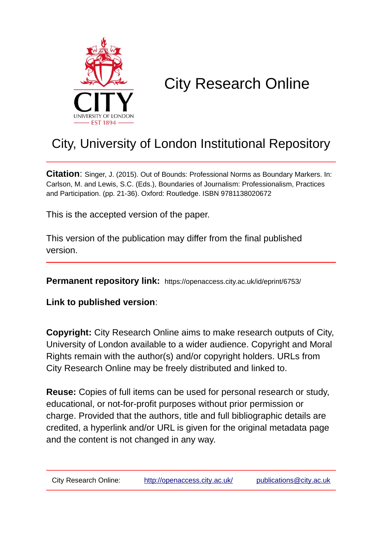

# City Research Online

## City, University of London Institutional Repository

**Citation**: Singer, J. (2015). Out of Bounds: Professional Norms as Boundary Markers. In: Carlson, M. and Lewis, S.C. (Eds.), Boundaries of Journalism: Professionalism, Practices and Participation. (pp. 21-36). Oxford: Routledge. ISBN 9781138020672

This is the accepted version of the paper.

This version of the publication may differ from the final published version.

**Permanent repository link:** https://openaccess.city.ac.uk/id/eprint/6753/

**Link to published version**:

**Copyright:** City Research Online aims to make research outputs of City, University of London available to a wider audience. Copyright and Moral Rights remain with the author(s) and/or copyright holders. URLs from City Research Online may be freely distributed and linked to.

**Reuse:** Copies of full items can be used for personal research or study, educational, or not-for-profit purposes without prior permission or charge. Provided that the authors, title and full bibliographic details are credited, a hyperlink and/or URL is given for the original metadata page and the content is not changed in any way.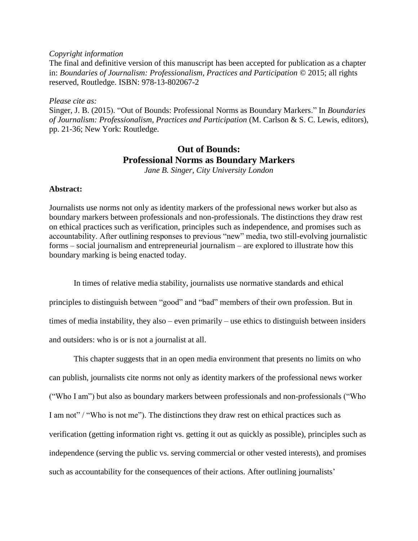#### *Copyright information*

The final and definitive version of this manuscript has been accepted for publication as a chapter in: *Boundaries of Journalism: Professionalism, Practices and Participation* © 2015; all rights reserved, Routledge. ISBN: 978-13-802067-2

*Please cite as:*

Singer, J. B. (2015). "Out of Bounds: Professional Norms as Boundary Markers." In *Boundaries of Journalism: Professionalism, Practices and Participation* (M. Carlson & S. C. Lewis, editors), pp. 21-36; New York: Routledge.

### **Out of Bounds: Professional Norms as Boundary Markers**

*Jane B. Singer, City University London* 

#### **Abstract:**

Journalists use norms not only as identity markers of the professional news worker but also as boundary markers between professionals and non-professionals. The distinctions they draw rest on ethical practices such as verification, principles such as independence, and promises such as accountability. After outlining responses to previous "new" media, two still-evolving journalistic forms – social journalism and entrepreneurial journalism – are explored to illustrate how this boundary marking is being enacted today.

In times of relative media stability, journalists use normative standards and ethical principles to distinguish between "good" and "bad" members of their own profession. But in times of media instability, they also – even primarily – use ethics to distinguish between insiders and outsiders: who is or is not a journalist at all.

This chapter suggests that in an open media environment that presents no limits on who can publish, journalists cite norms not only as identity markers of the professional news worker ("Who I am") but also as boundary markers between professionals and non-professionals ("Who I am not" / "Who is not me"). The distinctions they draw rest on ethical practices such as verification (getting information right vs. getting it out as quickly as possible), principles such as independence (serving the public vs. serving commercial or other vested interests), and promises such as accountability for the consequences of their actions. After outlining journalists'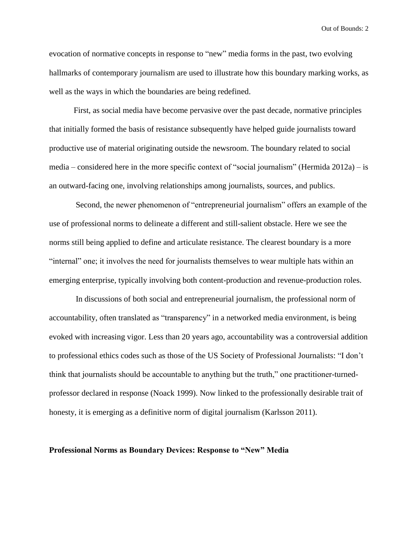evocation of normative concepts in response to "new" media forms in the past, two evolving hallmarks of contemporary journalism are used to illustrate how this boundary marking works, as well as the ways in which the boundaries are being redefined.

First, as social media have become pervasive over the past decade, normative principles that initially formed the basis of resistance subsequently have helped guide journalists toward productive use of material originating outside the newsroom. The boundary related to social media – considered here in the more specific context of "social journalism" (Hermida 2012a) – is an outward-facing one, involving relationships among journalists, sources, and publics.

Second, the newer phenomenon of "entrepreneurial journalism" offers an example of the use of professional norms to delineate a different and still-salient obstacle. Here we see the norms still being applied to define and articulate resistance. The clearest boundary is a more "internal" one; it involves the need for journalists themselves to wear multiple hats within an emerging enterprise, typically involving both content-production and revenue-production roles.

In discussions of both social and entrepreneurial journalism, the professional norm of accountability, often translated as "transparency" in a networked media environment, is being evoked with increasing vigor. Less than 20 years ago, accountability was a controversial addition to professional ethics codes such as those of the US Society of Professional Journalists: "I don't think that journalists should be accountable to anything but the truth," one practitioner-turnedprofessor declared in response (Noack 1999). Now linked to the professionally desirable trait of honesty, it is emerging as a definitive norm of digital journalism (Karlsson 2011).

#### **Professional Norms as Boundary Devices: Response to "New" Media**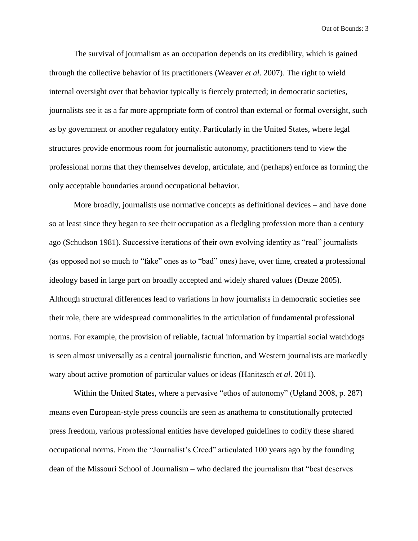The survival of journalism as an occupation depends on its credibility, which is gained through the collective behavior of its practitioners (Weaver *et al*. 2007). The right to wield internal oversight over that behavior typically is fiercely protected; in democratic societies, journalists see it as a far more appropriate form of control than external or formal oversight, such as by government or another regulatory entity. Particularly in the United States, where legal structures provide enormous room for journalistic autonomy, practitioners tend to view the professional norms that they themselves develop, articulate, and (perhaps) enforce as forming the only acceptable boundaries around occupational behavior.

More broadly, journalists use normative concepts as definitional devices – and have done so at least since they began to see their occupation as a fledgling profession more than a century ago (Schudson 1981). Successive iterations of their own evolving identity as "real" journalists (as opposed not so much to "fake" ones as to "bad" ones) have, over time, created a professional ideology based in large part on broadly accepted and widely shared values (Deuze 2005). Although structural differences lead to variations in how journalists in democratic societies see their role, there are widespread commonalities in the articulation of fundamental professional norms. For example, the provision of reliable, factual information by impartial social watchdogs is seen almost universally as a central journalistic function, and Western journalists are markedly wary about active promotion of particular values or ideas (Hanitzsch *et al*. 2011).

Within the United States, where a pervasive "ethos of autonomy" (Ugland 2008, p. 287) means even European-style press councils are seen as anathema to constitutionally protected press freedom, various professional entities have developed guidelines to codify these shared occupational norms. From the "Journalist's Creed" articulated 100 years ago by the founding dean of the Missouri School of Journalism – who declared the journalism that "best deserves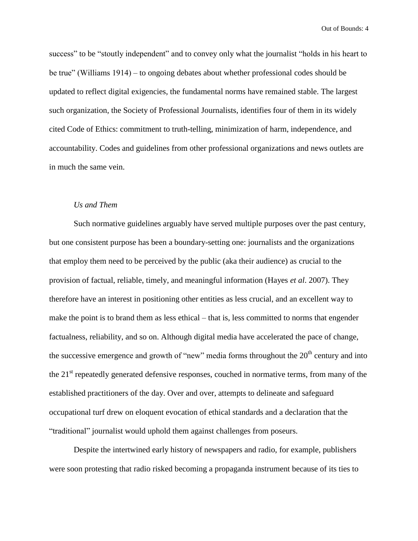success" to be "stoutly independent" and to convey only what the journalist "holds in his heart to be true" (Williams 1914) – to ongoing debates about whether professional codes should be updated to reflect digital exigencies, the fundamental norms have remained stable. The largest such organization, the Society of Professional Journalists, identifies four of them in its widely cited Code of Ethics: commitment to truth-telling, minimization of harm, independence, and accountability. Codes and guidelines from other professional organizations and news outlets are in much the same vein.

#### *Us and Them*

Such normative guidelines arguably have served multiple purposes over the past century, but one consistent purpose has been a boundary-setting one: journalists and the organizations that employ them need to be perceived by the public (aka their audience) as crucial to the provision of factual, reliable, timely, and meaningful information (Hayes *et al*. 2007). They therefore have an interest in positioning other entities as less crucial, and an excellent way to make the point is to brand them as less ethical – that is, less committed to norms that engender factualness, reliability, and so on. Although digital media have accelerated the pace of change, the successive emergence and growth of "new" media forms throughout the  $20<sup>th</sup>$  century and into the 21<sup>st</sup> repeatedly generated defensive responses, couched in normative terms, from many of the established practitioners of the day. Over and over, attempts to delineate and safeguard occupational turf drew on eloquent evocation of ethical standards and a declaration that the "traditional" journalist would uphold them against challenges from poseurs.

Despite the intertwined early history of newspapers and radio, for example, publishers were soon protesting that radio risked becoming a propaganda instrument because of its ties to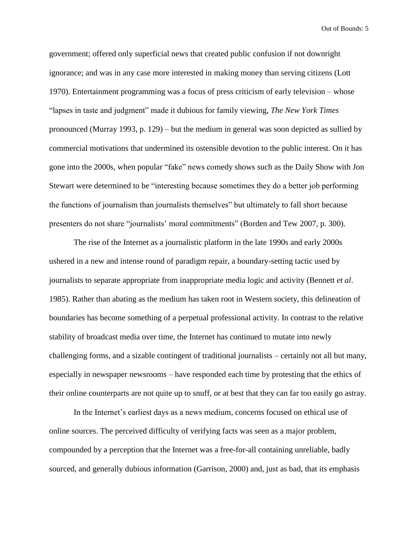government; offered only superficial news that created public confusion if not downright ignorance; and was in any case more interested in making money than serving citizens (Lott 1970). Entertainment programming was a focus of press criticism of early television – whose "lapses in taste and judgment" made it dubious for family viewing, *The New York Times* pronounced (Murray 1993, p. 129) – but the medium in general was soon depicted as sullied by commercial motivations that undermined its ostensible devotion to the public interest. On it has gone into the 2000s, when popular "fake" news comedy shows such as the Daily Show with Jon Stewart were determined to be "interesting because sometimes they do a better job performing the functions of journalism than journalists themselves" but ultimately to fall short because presenters do not share "journalists' moral commitments" (Borden and Tew 2007, p. 300).

The rise of the Internet as a journalistic platform in the late 1990s and early 2000s ushered in a new and intense round of paradigm repair, a boundary-setting tactic used by journalists to separate appropriate from inappropriate media logic and activity (Bennett *et al*. 1985). Rather than abating as the medium has taken root in Western society, this delineation of boundaries has become something of a perpetual professional activity. In contrast to the relative stability of broadcast media over time, the Internet has continued to mutate into newly challenging forms, and a sizable contingent of traditional journalists – certainly not all but many, especially in newspaper newsrooms – have responded each time by protesting that the ethics of their online counterparts are not quite up to snuff, or at best that they can far too easily go astray.

In the Internet's earliest days as a news medium, concerns focused on ethical use of online sources. The perceived difficulty of verifying facts was seen as a major problem, compounded by a perception that the Internet was a free-for-all containing unreliable, badly sourced, and generally dubious information (Garrison, 2000) and, just as bad, that its emphasis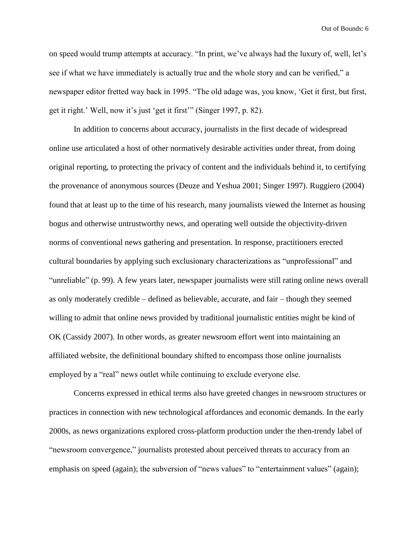on speed would trump attempts at accuracy. "In print, we've always had the luxury of, well, let's see if what we have immediately is actually true and the whole story and can be verified," a newspaper editor fretted way back in 1995. "The old adage was, you know, 'Get it first, but first, get it right.' Well, now it's just 'get it first'" (Singer 1997, p. 82).

In addition to concerns about accuracy, journalists in the first decade of widespread online use articulated a host of other normatively desirable activities under threat, from doing original reporting, to protecting the privacy of content and the individuals behind it, to certifying the provenance of anonymous sources (Deuze and Yeshua 2001; Singer 1997). Ruggiero (2004) found that at least up to the time of his research, many journalists viewed the Internet as housing bogus and otherwise untrustworthy news, and operating well outside the objectivity-driven norms of conventional news gathering and presentation. In response, practitioners erected cultural boundaries by applying such exclusionary characterizations as "unprofessional" and "unreliable" (p. 99). A few years later, newspaper journalists were still rating online news overall as only moderately credible – defined as believable, accurate, and fair – though they seemed willing to admit that online news provided by traditional journalistic entities might be kind of OK (Cassidy 2007). In other words, as greater newsroom effort went into maintaining an affiliated website, the definitional boundary shifted to encompass those online journalists employed by a "real" news outlet while continuing to exclude everyone else.

Concerns expressed in ethical terms also have greeted changes in newsroom structures or practices in connection with new technological affordances and economic demands. In the early 2000s, as news organizations explored cross-platform production under the then-trendy label of "newsroom convergence," journalists protested about perceived threats to accuracy from an emphasis on speed (again); the subversion of "news values" to "entertainment values" (again);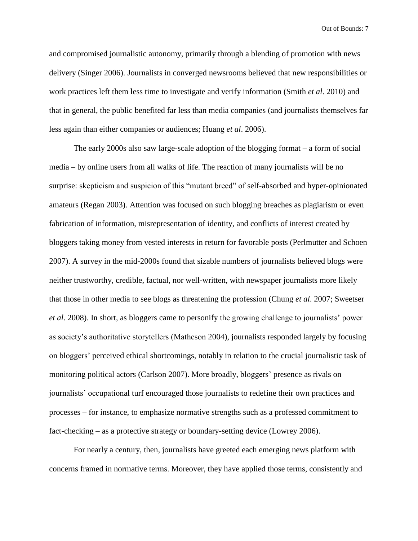and compromised journalistic autonomy, primarily through a blending of promotion with news delivery (Singer 2006). Journalists in converged newsrooms believed that new responsibilities or work practices left them less time to investigate and verify information (Smith *et al*. 2010) and that in general, the public benefited far less than media companies (and journalists themselves far less again than either companies or audiences; Huang *et al*. 2006).

The early 2000s also saw large-scale adoption of the blogging format – a form of social media – by online users from all walks of life. The reaction of many journalists will be no surprise: skepticism and suspicion of this "mutant breed" of self-absorbed and hyper-opinionated amateurs (Regan 2003). Attention was focused on such blogging breaches as plagiarism or even fabrication of information, misrepresentation of identity, and conflicts of interest created by bloggers taking money from vested interests in return for favorable posts (Perlmutter and Schoen 2007). A survey in the mid-2000s found that sizable numbers of journalists believed blogs were neither trustworthy, credible, factual, nor well-written, with newspaper journalists more likely that those in other media to see blogs as threatening the profession (Chung *et al*. 2007; Sweetser *et al*. 2008). In short, as bloggers came to personify the growing challenge to journalists' power as society's authoritative storytellers (Matheson 2004), journalists responded largely by focusing on bloggers' perceived ethical shortcomings, notably in relation to the crucial journalistic task of monitoring political actors (Carlson 2007). More broadly, bloggers' presence as rivals on journalists' occupational turf encouraged those journalists to redefine their own practices and processes – for instance, to emphasize normative strengths such as a professed commitment to fact-checking – as a protective strategy or boundary-setting device (Lowrey 2006).

For nearly a century, then, journalists have greeted each emerging news platform with concerns framed in normative terms. Moreover, they have applied those terms, consistently and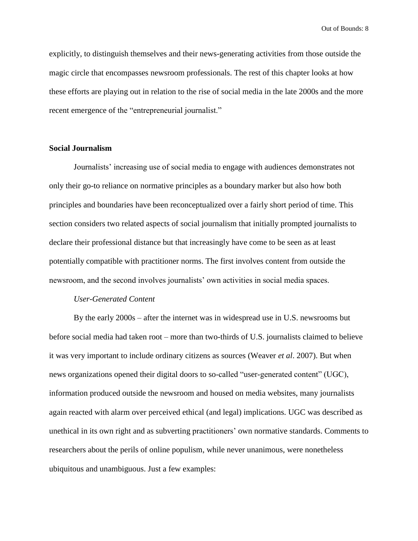explicitly, to distinguish themselves and their news-generating activities from those outside the magic circle that encompasses newsroom professionals. The rest of this chapter looks at how these efforts are playing out in relation to the rise of social media in the late 2000s and the more recent emergence of the "entrepreneurial journalist."

#### **Social Journalism**

Journalists' increasing use of social media to engage with audiences demonstrates not only their go-to reliance on normative principles as a boundary marker but also how both principles and boundaries have been reconceptualized over a fairly short period of time. This section considers two related aspects of social journalism that initially prompted journalists to declare their professional distance but that increasingly have come to be seen as at least potentially compatible with practitioner norms. The first involves content from outside the newsroom, and the second involves journalists' own activities in social media spaces.

#### *User-Generated Content*

By the early 2000s – after the internet was in widespread use in U.S. newsrooms but before social media had taken root – more than two-thirds of U.S. journalists claimed to believe it was very important to include ordinary citizens as sources (Weaver *et al*. 2007). But when news organizations opened their digital doors to so-called "user-generated content" (UGC), information produced outside the newsroom and housed on media websites, many journalists again reacted with alarm over perceived ethical (and legal) implications. UGC was described as unethical in its own right and as subverting practitioners' own normative standards. Comments to researchers about the perils of online populism, while never unanimous, were nonetheless ubiquitous and unambiguous. Just a few examples: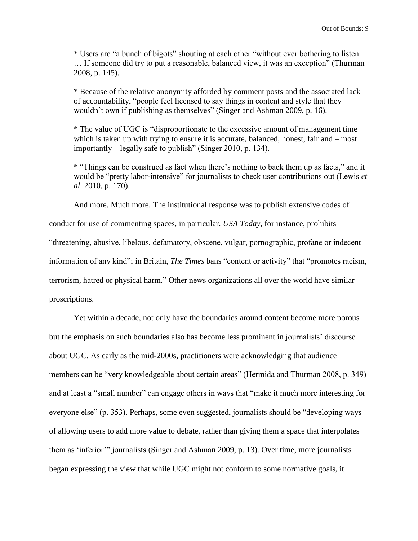\* Users are "a bunch of bigots" shouting at each other "without ever bothering to listen … If someone did try to put a reasonable, balanced view, it was an exception" (Thurman 2008, p. 145).

\* Because of the relative anonymity afforded by comment posts and the associated lack of accountability, "people feel licensed to say things in content and style that they wouldn't own if publishing as themselves" (Singer and Ashman 2009, p. 16).

\* The value of UGC is "disproportionate to the excessive amount of management time which is taken up with trying to ensure it is accurate, balanced, honest, fair and – most importantly – legally safe to publish" (Singer 2010, p. 134).

\* "Things can be construed as fact when there's nothing to back them up as facts," and it would be "pretty labor-intensive" for journalists to check user contributions out (Lewis *et al*. 2010, p. 170).

And more. Much more. The institutional response was to publish extensive codes of

conduct for use of commenting spaces, in particular. *USA Today*, for instance, prohibits "threatening, abusive, libelous, defamatory, obscene, vulgar, pornographic, profane or indecent information of any kind"; in Britain, *The Times* bans "content or activity" that "promotes racism, terrorism, hatred or physical harm." Other news organizations all over the world have similar proscriptions.

Yet within a decade, not only have the boundaries around content become more porous but the emphasis on such boundaries also has become less prominent in journalists' discourse about UGC. As early as the mid-2000s, practitioners were acknowledging that audience members can be "very knowledgeable about certain areas" (Hermida and Thurman 2008, p. 349) and at least a "small number" can engage others in ways that "make it much more interesting for everyone else" (p. 353). Perhaps, some even suggested, journalists should be "developing ways of allowing users to add more value to debate, rather than giving them a space that interpolates them as 'inferior'" journalists (Singer and Ashman 2009, p. 13). Over time, more journalists began expressing the view that while UGC might not conform to some normative goals, it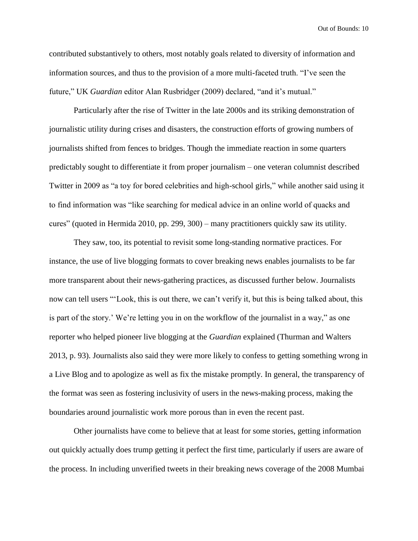contributed substantively to others, most notably goals related to diversity of information and information sources, and thus to the provision of a more multi-faceted truth. "I've seen the future," UK *Guardian* editor Alan Rusbridger (2009) declared, "and it's mutual."

Particularly after the rise of Twitter in the late 2000s and its striking demonstration of journalistic utility during crises and disasters, the construction efforts of growing numbers of journalists shifted from fences to bridges. Though the immediate reaction in some quarters predictably sought to differentiate it from proper journalism – one veteran columnist described Twitter in 2009 as "a toy for bored celebrities and high-school girls," while another said using it to find information was "like searching for medical advice in an online world of quacks and cures" (quoted in Hermida 2010, pp. 299, 300) – many practitioners quickly saw its utility.

They saw, too, its potential to revisit some long-standing normative practices. For instance, the use of live blogging formats to cover breaking news enables journalists to be far more transparent about their news-gathering practices, as discussed further below. Journalists now can tell users "'Look, this is out there, we can't verify it, but this is being talked about, this is part of the story.' We're letting you in on the workflow of the journalist in a way," as one reporter who helped pioneer live blogging at the *Guardian* explained (Thurman and Walters 2013, p. 93). Journalists also said they were more likely to confess to getting something wrong in a Live Blog and to apologize as well as fix the mistake promptly. In general, the transparency of the format was seen as fostering inclusivity of users in the news-making process, making the boundaries around journalistic work more porous than in even the recent past.

Other journalists have come to believe that at least for some stories, getting information out quickly actually does trump getting it perfect the first time, particularly if users are aware of the process. In including unverified tweets in their breaking news coverage of the 2008 Mumbai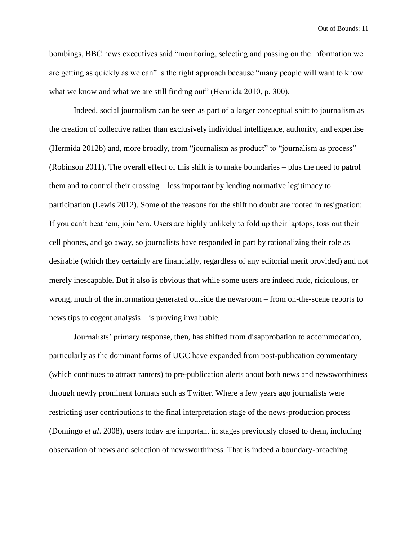bombings, BBC news executives said "monitoring, selecting and passing on the information we are getting as quickly as we can" is the right approach because "many people will want to know what we know and what we are still finding out" (Hermida 2010, p. 300).

Indeed, social journalism can be seen as part of a larger conceptual shift to journalism as the creation of collective rather than exclusively individual intelligence, authority, and expertise (Hermida 2012b) and, more broadly, from "journalism as product" to "journalism as process" (Robinson 2011). The overall effect of this shift is to make boundaries – plus the need to patrol them and to control their crossing – less important by lending normative legitimacy to participation (Lewis 2012). Some of the reasons for the shift no doubt are rooted in resignation: If you can't beat 'em, join 'em. Users are highly unlikely to fold up their laptops, toss out their cell phones, and go away, so journalists have responded in part by rationalizing their role as desirable (which they certainly are financially, regardless of any editorial merit provided) and not merely inescapable. But it also is obvious that while some users are indeed rude, ridiculous, or wrong, much of the information generated outside the newsroom – from on-the-scene reports to news tips to cogent analysis – is proving invaluable.

Journalists' primary response, then, has shifted from disapprobation to accommodation, particularly as the dominant forms of UGC have expanded from post-publication commentary (which continues to attract ranters) to pre-publication alerts about both news and newsworthiness through newly prominent formats such as Twitter. Where a few years ago journalists were restricting user contributions to the final interpretation stage of the news-production process (Domingo *et al*. 2008), users today are important in stages previously closed to them, including observation of news and selection of newsworthiness. That is indeed a boundary-breaching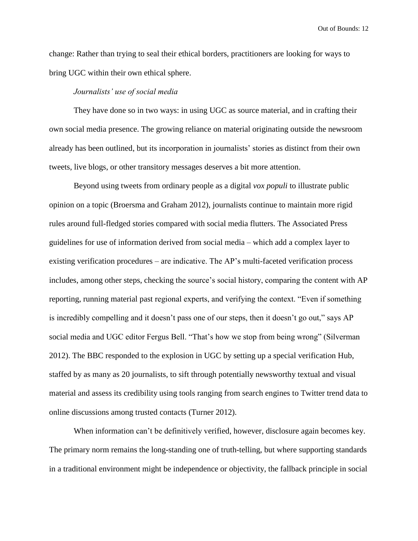change: Rather than trying to seal their ethical borders, practitioners are looking for ways to bring UGC within their own ethical sphere.

#### *Journalists' use of social media*

They have done so in two ways: in using UGC as source material, and in crafting their own social media presence. The growing reliance on material originating outside the newsroom already has been outlined, but its incorporation in journalists' stories as distinct from their own tweets, live blogs, or other transitory messages deserves a bit more attention.

Beyond using tweets from ordinary people as a digital *vox populi* to illustrate public opinion on a topic (Broersma and Graham 2012), journalists continue to maintain more rigid rules around full-fledged stories compared with social media flutters. The Associated Press guidelines for use of information derived from social media – which add a complex layer to existing verification procedures – are indicative. The AP's multi-faceted verification process includes, among other steps, checking the source's social history, comparing the content with AP reporting, running material past regional experts, and verifying the context. "Even if something is incredibly compelling and it doesn't pass one of our steps, then it doesn't go out," says AP social media and UGC editor Fergus Bell. "That's how we stop from being wrong" (Silverman 2012). The BBC responded to the explosion in UGC by setting up a special verification Hub, staffed by as many as 20 journalists, to sift through potentially newsworthy textual and visual material and assess its credibility using tools ranging from search engines to Twitter trend data to online discussions among trusted contacts (Turner 2012).

When information can't be definitively verified, however, disclosure again becomes key. The primary norm remains the long-standing one of truth-telling, but where supporting standards in a traditional environment might be independence or objectivity, the fallback principle in social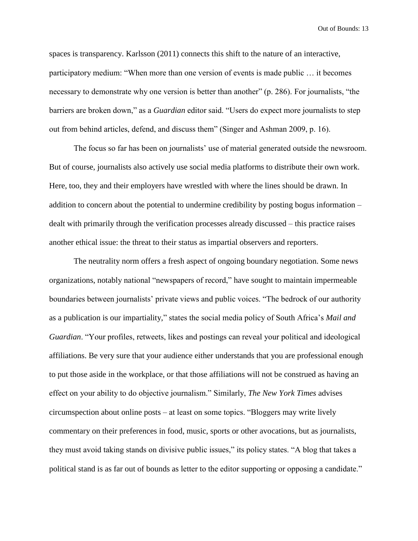spaces is transparency. Karlsson (2011) connects this shift to the nature of an interactive, participatory medium: "When more than one version of events is made public … it becomes necessary to demonstrate why one version is better than another" (p. 286). For journalists, "the barriers are broken down," as a *Guardian* editor said. "Users do expect more journalists to step out from behind articles, defend, and discuss them" (Singer and Ashman 2009, p. 16).

The focus so far has been on journalists' use of material generated outside the newsroom. But of course, journalists also actively use social media platforms to distribute their own work. Here, too, they and their employers have wrestled with where the lines should be drawn. In addition to concern about the potential to undermine credibility by posting bogus information – dealt with primarily through the verification processes already discussed – this practice raises another ethical issue: the threat to their status as impartial observers and reporters.

The neutrality norm offers a fresh aspect of ongoing boundary negotiation. Some news organizations, notably national "newspapers of record," have sought to maintain impermeable boundaries between journalists' private views and public voices. "The bedrock of our authority as a publication is our impartiality," states the social media policy of South Africa's *Mail and Guardian*. "Your profiles, retweets, likes and postings can reveal your political and ideological affiliations. Be very sure that your audience either understands that you are professional enough to put those aside in the workplace, or that those affiliations will not be construed as having an effect on your ability to do objective journalism." Similarly, *The New York Times* advises circumspection about online posts – at least on some topics. "Bloggers may write lively commentary on their preferences in food, music, sports or other avocations, but as journalists, they must avoid taking stands on divisive public issues," its policy states. "A blog that takes a political stand is as far out of bounds as letter to the editor supporting or opposing a candidate."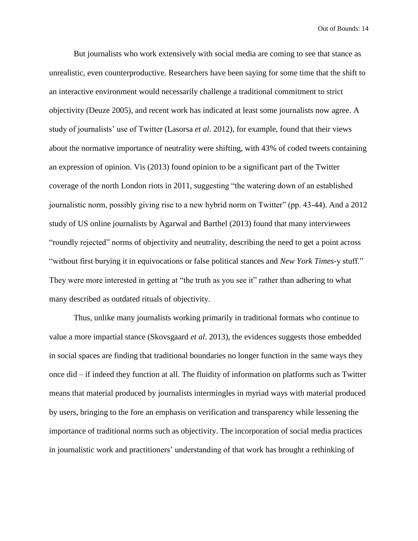But journalists who work extensively with social media are coming to see that stance as unrealistic, even counterproductive. Researchers have been saying for some time that the shift to an interactive environment would necessarily challenge a traditional commitment to strict objectivity (Deuze 2005), and recent work has indicated at least some journalists now agree. A study of journalists' use of Twitter (Lasorsa *et al*. 2012), for example, found that their views about the normative importance of neutrality were shifting, with 43% of coded tweets containing an expression of opinion. Vis (2013) found opinion to be a significant part of the Twitter coverage of the north London riots in 2011, suggesting "the watering down of an established journalistic norm, possibly giving rise to a new hybrid norm on Twitter" (pp. 43-44). And a 2012 study of US online journalists by Agarwal and Barthel (2013) found that many interviewees "roundly rejected" norms of objectivity and neutrality, describing the need to get a point across "without first burying it in equivocations or false political stances and *New York Times*-y stuff." They were more interested in getting at "the truth as you see it" rather than adhering to what many described as outdated rituals of objectivity.

Thus, unlike many journalists working primarily in traditional formats who continue to value a more impartial stance (Skovsgaard *et al*. 2013), the evidences suggests those embedded in social spaces are finding that traditional boundaries no longer function in the same ways they once did – if indeed they function at all. The fluidity of information on platforms such as Twitter means that material produced by journalists intermingles in myriad ways with material produced by users, bringing to the fore an emphasis on verification and transparency while lessening the importance of traditional norms such as objectivity. The incorporation of social media practices in journalistic work and practitioners' understanding of that work has brought a rethinking of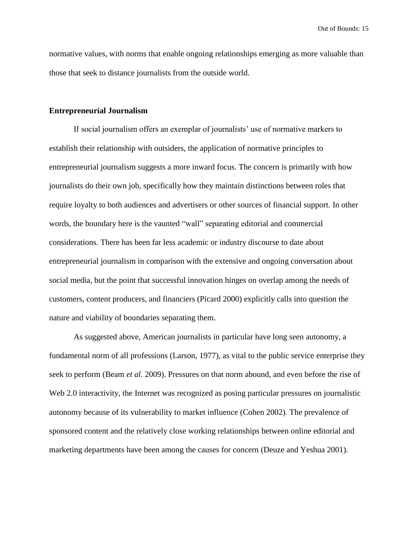normative values, with norms that enable ongoing relationships emerging as more valuable than those that seek to distance journalists from the outside world.

#### **Entrepreneurial Journalism**

If social journalism offers an exemplar of journalists' use of normative markers to establish their relationship with outsiders, the application of normative principles to entrepreneurial journalism suggests a more inward focus. The concern is primarily with how journalists do their own job, specifically how they maintain distinctions between roles that require loyalty to both audiences and advertisers or other sources of financial support. In other words, the boundary here is the vaunted "wall" separating editorial and commercial considerations. There has been far less academic or industry discourse to date about entrepreneurial journalism in comparison with the extensive and ongoing conversation about social media, but the point that successful innovation hinges on overlap among the needs of customers, content producers, and financiers (Picard 2000) explicitly calls into question the nature and viability of boundaries separating them.

As suggested above, American journalists in particular have long seen autonomy, a fundamental norm of all professions (Larson, 1977), as vital to the public service enterprise they seek to perform (Beam *et al*. 2009). Pressures on that norm abound, and even before the rise of Web 2.0 interactivity, the Internet was recognized as posing particular pressures on journalistic autonomy because of its vulnerability to market influence (Cohen 2002). The prevalence of sponsored content and the relatively close working relationships between online editorial and marketing departments have been among the causes for concern (Deuze and Yeshua 2001).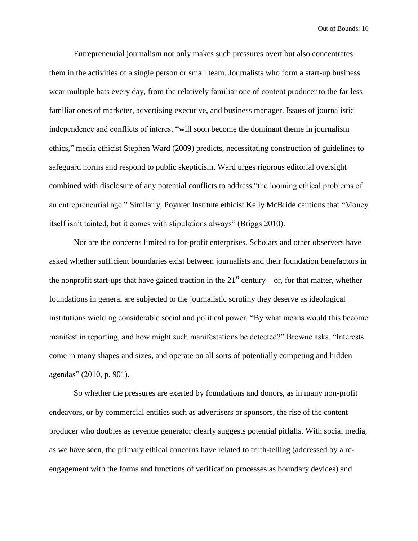Entrepreneurial journalism not only makes such pressures overt but also concentrates them in the activities of a single person or small team. Journalists who form a start-up business wear multiple hats every day, from the relatively familiar one of content producer to the far less familiar ones of marketer, advertising executive, and business manager. Issues of journalistic independence and conflicts of interest "will soon become the dominant theme in journalism ethics," media ethicist Stephen Ward (2009) predicts, necessitating construction of guidelines to safeguard norms and respond to public skepticism. Ward urges rigorous editorial oversight combined with disclosure of any potential conflicts to address "the looming ethical problems of an entrepreneurial age." Similarly, Poynter Institute ethicist Kelly McBride cautions that "Money itself isn't tainted, but it comes with stipulations always" (Briggs 2010).

Nor are the concerns limited to for-profit enterprises. Scholars and other observers have asked whether sufficient boundaries exist between journalists and their foundation benefactors in the nonprofit start-ups that have gained traction in the  $21<sup>st</sup>$  century – or, for that matter, whether foundations in general are subjected to the journalistic scrutiny they deserve as ideological institutions wielding considerable social and political power. "By what means would this become manifest in reporting, and how might such manifestations be detected?" Browne asks. "Interests come in many shapes and sizes, and operate on all sorts of potentially competing and hidden agendas" (2010, p. 901).

So whether the pressures are exerted by foundations and donors, as in many non-profit endeavors, or by commercial entities such as advertisers or sponsors, the rise of the content producer who doubles as revenue generator clearly suggests potential pitfalls. With social media, as we have seen, the primary ethical concerns have related to truth-telling (addressed by a reengagement with the forms and functions of verification processes as boundary devices) and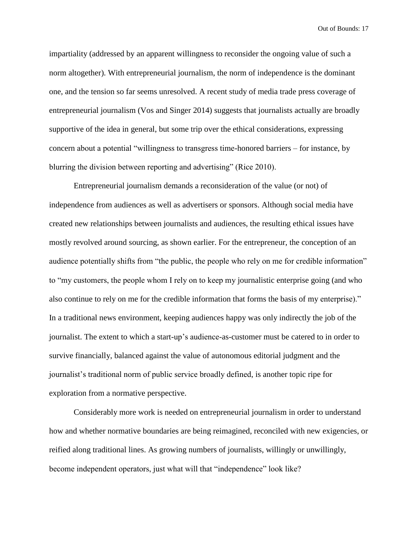impartiality (addressed by an apparent willingness to reconsider the ongoing value of such a norm altogether). With entrepreneurial journalism, the norm of independence is the dominant one, and the tension so far seems unresolved. A recent study of media trade press coverage of entrepreneurial journalism (Vos and Singer 2014) suggests that journalists actually are broadly supportive of the idea in general, but some trip over the ethical considerations, expressing concern about a potential "willingness to transgress time-honored barriers – for instance, by blurring the division between reporting and advertising" (Rice 2010).

Entrepreneurial journalism demands a reconsideration of the value (or not) of independence from audiences as well as advertisers or sponsors. Although social media have created new relationships between journalists and audiences, the resulting ethical issues have mostly revolved around sourcing, as shown earlier. For the entrepreneur, the conception of an audience potentially shifts from "the public, the people who rely on me for credible information" to "my customers, the people whom I rely on to keep my journalistic enterprise going (and who also continue to rely on me for the credible information that forms the basis of my enterprise)." In a traditional news environment, keeping audiences happy was only indirectly the job of the journalist. The extent to which a start-up's audience-as-customer must be catered to in order to survive financially, balanced against the value of autonomous editorial judgment and the journalist's traditional norm of public service broadly defined, is another topic ripe for exploration from a normative perspective.

Considerably more work is needed on entrepreneurial journalism in order to understand how and whether normative boundaries are being reimagined, reconciled with new exigencies, or reified along traditional lines. As growing numbers of journalists, willingly or unwillingly, become independent operators, just what will that "independence" look like?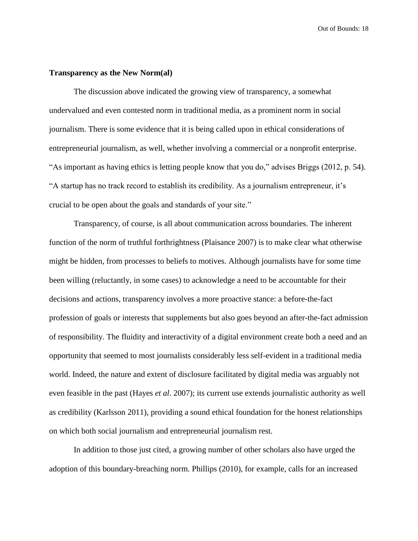#### **Transparency as the New Norm(al)**

The discussion above indicated the growing view of transparency, a somewhat undervalued and even contested norm in traditional media, as a prominent norm in social journalism. There is some evidence that it is being called upon in ethical considerations of entrepreneurial journalism, as well, whether involving a commercial or a nonprofit enterprise. "As important as having ethics is letting people know that you do," advises Briggs (2012, p. 54). "A startup has no track record to establish its credibility. As a journalism entrepreneur, it's crucial to be open about the goals and standards of your site."

Transparency, of course, is all about communication across boundaries. The inherent function of the norm of truthful forthrightness (Plaisance 2007) is to make clear what otherwise might be hidden, from processes to beliefs to motives. Although journalists have for some time been willing (reluctantly, in some cases) to acknowledge a need to be accountable for their decisions and actions, transparency involves a more proactive stance: a before-the-fact profession of goals or interests that supplements but also goes beyond an after-the-fact admission of responsibility. The fluidity and interactivity of a digital environment create both a need and an opportunity that seemed to most journalists considerably less self-evident in a traditional media world. Indeed, the nature and extent of disclosure facilitated by digital media was arguably not even feasible in the past (Hayes *et al*. 2007); its current use extends journalistic authority as well as credibility (Karlsson 2011), providing a sound ethical foundation for the honest relationships on which both social journalism and entrepreneurial journalism rest.

In addition to those just cited, a growing number of other scholars also have urged the adoption of this boundary-breaching norm. Phillips (2010), for example, calls for an increased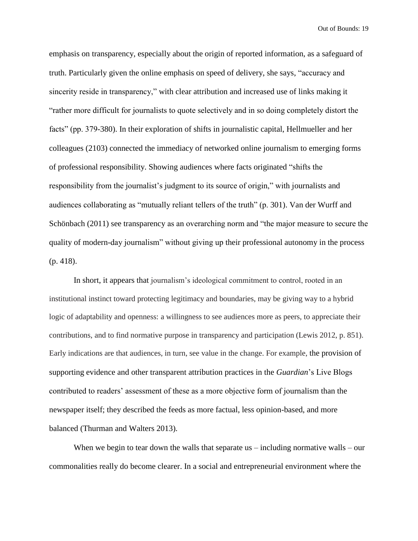emphasis on transparency, especially about the origin of reported information, as a safeguard of truth. Particularly given the online emphasis on speed of delivery, she says, "accuracy and sincerity reside in transparency," with clear attribution and increased use of links making it "rather more difficult for journalists to quote selectively and in so doing completely distort the facts" (pp. 379-380). In their exploration of shifts in journalistic capital, Hellmueller and her colleagues (2103) connected the immediacy of networked online journalism to emerging forms of professional responsibility. Showing audiences where facts originated "shifts the responsibility from the journalist's judgment to its source of origin," with journalists and audiences collaborating as "mutually reliant tellers of the truth" (p. 301). Van der Wurff and Schönbach (2011) see transparency as an overarching norm and "the major measure to secure the quality of modern-day journalism" without giving up their professional autonomy in the process (p. 418).

In short, it appears that journalism's ideological commitment to control, rooted in an institutional instinct toward protecting legitimacy and boundaries, may be giving way to a hybrid logic of adaptability and openness: a willingness to see audiences more as peers, to appreciate their contributions, and to find normative purpose in transparency and participation (Lewis 2012, p. 851). Early indications are that audiences, in turn, see value in the change. For example, the provision of supporting evidence and other transparent attribution practices in the *Guardian*'s Live Blogs contributed to readers' assessment of these as a more objective form of journalism than the newspaper itself; they described the feeds as more factual, less opinion-based, and more balanced (Thurman and Walters 2013).

When we begin to tear down the walls that separate us  $-$  including normative walls  $-$  our commonalities really do become clearer. In a social and entrepreneurial environment where the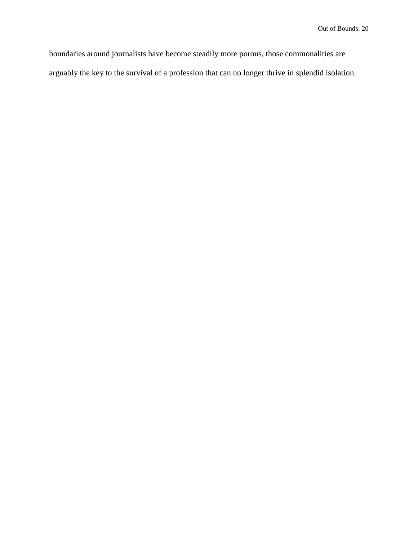boundaries around journalists have become steadily more porous, those commonalities are arguably the key to the survival of a profession that can no longer thrive in splendid isolation.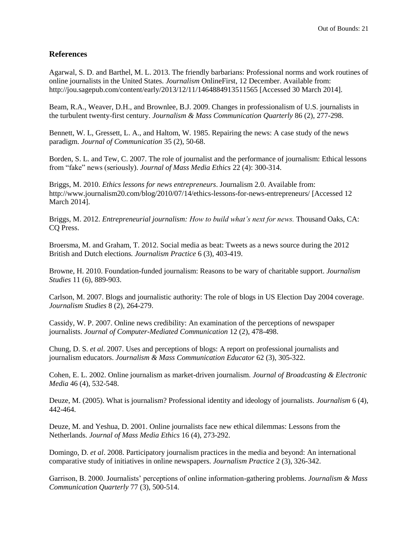#### **References**

Agarwal, S. D. and Barthel, M. L. 2013. The friendly barbarians: Professional norms and work routines of online journalists in the United States. *Journalism* OnlineFirst, 12 December. Available from: http://jou.sagepub.com/content/early/2013/12/11/1464884913511565 [Accessed 30 March 2014].

Beam, R.A., Weaver, D.H., and Brownlee, B.J. 2009. Changes in professionalism of U.S. journalists in the turbulent twenty-first century. *Journalism & Mass Communication Quarterly* 86 (2), 277-298.

Bennett, W. L, Gressett, L. A., and Haltom, W. 1985. Repairing the news: A case study of the news paradigm. *Journal of Communication* 35 (2), 50-68.

Borden, S. L. and Tew, C. 2007. The role of journalist and the performance of journalism: Ethical lessons from "fake" news (seriously). *Journal of Mass Media Ethics* 22 (4): 300-314.

Briggs, M. 2010. *Ethics lessons for news entrepreneurs*. Journalism 2.0. Available from: <http://www.journalism20.com/blog/2010/07/14/ethics-lessons-for-news-entrepreneurs/> [Accessed 12 March 2014].

Briggs, M. 2012. *Entrepreneurial journalism: How to build what's next for news.* Thousand Oaks, CA: CQ Press.

Broersma, M. and Graham, T. 2012. Social media as beat: Tweets as a news source during the 2012 British and Dutch elections*. Journalism Practice* 6 (3), 403-419.

Browne, H. 2010. Foundation-funded journalism: Reasons to be wary of charitable support. *Journalism Studies* 11 (6), 889-903.

Carlson, M. 2007. Blogs and journalistic authority: The role of blogs in US Election Day 2004 coverage. *Journalism Studies* 8 (2), 264-279.

Cassidy, W. P. 2007. Online news credibility: An examination of the perceptions of newspaper journalists. *Journal of Computer-Mediated Communication* 12 (2), 478-498.

Chung, D. S. *et al*. 2007. Uses and perceptions of blogs: A report on professional journalists and journalism educators. *Journalism & Mass Communication Educator* 62 (3), 305-322.

Cohen, E. L. 2002. Online journalism as market-driven journalism. *Journal of Broadcasting & Electronic Media* 46 (4), 532-548.

Deuze, M. (2005). What is journalism? Professional identity and ideology of journalists. *Journalism* 6 (4), 442-464.

Deuze, M. and Yeshua, D. 2001. Online journalists face new ethical dilemmas: Lessons from the Netherlands. *Journal of Mass Media Ethics* 16 (4), 273-292.

Domingo, D. *et al*. 2008. Participatory journalism practices in the media and beyond: An international comparative study of initiatives in online newspapers. *Journalism Practice* 2 (3), 326-342.

Garrison, B. 2000. Journalists' perceptions of online information-gathering problems. *Journalism & Mass Communication Quarterly* 77 (3), 500-514.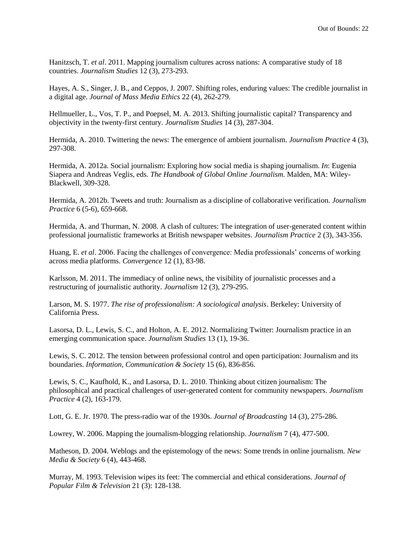Hanitzsch, T. *et al*. 2011. Mapping journalism cultures across nations: A comparative study of 18 countries. *Journalism Studies* 12 (3), 273-293.

Hayes, A. S., Singer, J. B., and Ceppos, J. 2007. Shifting roles, enduring values: The credible journalist in a digital age. *Journal of Mass Media Ethics* 22 (4), 262-279.

Hellmueller, L., Vos, T. P., and Poepsel, M. A. 2013. Shifting journalistic capital? Transparency and objectivity in the twenty-first century. *Journalism Studies* 14 (3), 287-304.

Hermida, A. 2010. Twittering the news: The emergence of ambient journalism. *Journalism Practice* 4 (3), 297-308.

Hermida, A. 2012a. Social journalism: Exploring how social media is shaping journalism. *In*: Eugenia Siapera and Andreas Veglis, eds. *The Handbook of Global Online Journalism.* Malden, MA: Wiley-Blackwell, 309-328.

Hermida, A. 2012b. Tweets and truth: Journalism as a discipline of collaborative verification. *Journalism Practice* 6 (5-6), 659-668.

Hermida, A. and Thurman, N. 2008. A clash of cultures: The integration of user-generated content within professional journalistic frameworks at British newspaper websites. *Journalism Practice* 2 (3), 343-356.

Huang, E. *et al*. 2006. Facing the challenges of convergence: Media professionals' concerns of working across media platforms. *Convergence* 12 (1), 83-98.

Karlsson, M. 2011. The immediacy of online news, the visibility of journalistic processes and a restructuring of journalistic authority. *Journalism* 12 (3), 279-295.

Larson, M. S. 1977. *The rise of professionalism: A sociological analysis*. Berkeley: University of California Press.

Lasorsa, D. L., Lewis, S. C., and Holton, A. E. 2012. Normalizing Twitter: Journalism practice in an emerging communication space. *Journalism Studies* 13 (1), 19-36.

Lewis, S. C. 2012. The tension between professional control and open participation: Journalism and its boundaries. *Information, Communication & Society* 15 (6), 836-856.

Lewis, S. C., Kaufhold, K., and Lasorsa, D. L. 2010. Thinking about citizen journalism: The philosophical and practical challenges of user-generated content for community newspapers. *Journalism Practice* 4 (2), 163-179.

Lott, G. E. Jr. 1970. The press-radio war of the 1930s. *Journal of Broadcasting* 14 (3), 275-286.

Lowrey, W. 2006. Mapping the journalism-blogging relationship. *Journalism* 7 (4), 477-500.

Matheson, D. 2004. Weblogs and the epistemology of the news: Some trends in online journalism. *New Media & Society* 6 (4), 443-468.

Murray, M. 1993. Television wipes its feet: The commercial and ethical considerations. *Journal of Popular Film & Television* 21 (3): 128-138.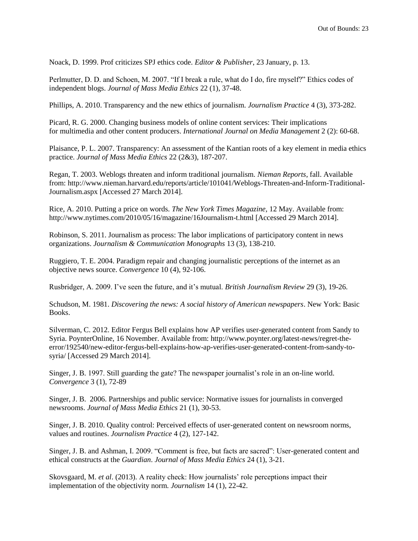Noack, D. 1999. Prof criticizes SPJ ethics code. *Editor & Publisher*, 23 January, p. 13.

Perlmutter, D. D. and Schoen, M. 2007. "If I break a rule, what do I do, fire myself?" Ethics codes of independent blogs. *Journal of Mass Media Ethics* 22 (1), 37-48.

Phillips, A. 2010. Transparency and the new ethics of journalism. *Journalism Practice* 4 (3), 373-282.

Picard, R. G. 2000. Changing business models of online content services: Their implications for multimedia and other content producers. *International Journal on Media Management* 2 (2): 60-68.

Plaisance, P. L. 2007. Transparency: An assessment of the Kantian roots of a key element in media ethics practice. *Journal of Mass Media Ethics* 22 (2&3), 187-207.

Regan, T. 2003. Weblogs threaten and inform traditional journalism. *Nieman Reports*, fall. Available from: [http://www.nieman.harvard.edu/reports/article/101041/Weblogs-Threaten-and-Inform-Traditional-](http://www.nieman.harvard.edu/reports/article/101041/Weblogs-Threaten-and-Inform-Traditional-Journalism.aspx)[Journalism.aspx](http://www.nieman.harvard.edu/reports/article/101041/Weblogs-Threaten-and-Inform-Traditional-Journalism.aspx) [Accessed 27 March 2014].

Rice, A. 2010. Putting a price on words. *The New York Times Magazine*, 12 May. Available from: http://www.nytimes.com/2010/05/16/magazine/16Journalism-t.html [Accessed 29 March 2014].

Robinson, S. 2011. Journalism as process: The labor implications of participatory content in news organizations. *Journalism & Communication Monographs* 13 (3), 138-210.

Ruggiero, T. E. 2004. Paradigm repair and changing journalistic perceptions of the internet as an objective news source. *Convergence* 10 (4), 92-106.

Rusbridger, A. 2009. I've seen the future, and it's mutual. *British Journalism Review* 29 (3), 19-26.

Schudson, M. 1981. *Discovering the news: A social history of American newspapers*. New York: Basic Books.

Silverman, C. 2012. Editor Fergus Bell explains how AP verifies user-generated content from Sandy to Syria. PoynterOnline, 16 November. Available from: http://www.poynter.org/latest-news/regret-theerror/192540/new-editor-fergus-bell-explains-how-ap-verifies-user-generated-content-from-sandy-tosyria/ [Accessed 29 March 2014].

Singer, J. B. 1997. Still guarding the gate? The newspaper journalist's role in an on-line world. *Convergence* 3 (1), 72-89

Singer, J. B. 2006. Partnerships and public service: Normative issues for journalists in converged newsrooms. *Journal of Mass Media Ethics* 21 (1), 30-53.

Singer, J. B. 2010. Quality control: Perceived effects of user-generated content on newsroom norms, values and routines. *Journalism Practice* 4 (2), 127-142.

Singer, J. B. and Ashman, I. 2009. "Comment is free, but facts are sacred": User-generated content and ethical constructs at the *Guardian*. *Journal of Mass Media Ethics* 24 (1), 3-21.

Skovsgaard, M. *et al*. (2013). A reality check: How journalists' role perceptions impact their implementation of the objectivity norm. *Journalism* 14 (1), 22-42.